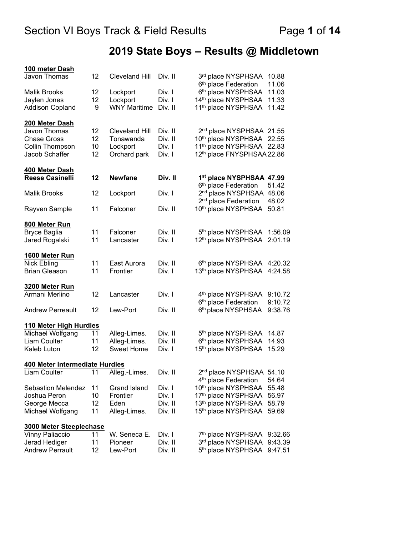# **2019 State Boys – Results @ Middletown**

| 100 meter Dash                             |    |                       |         |                                                                          |                    |
|--------------------------------------------|----|-----------------------|---------|--------------------------------------------------------------------------|--------------------|
| Javon Thomas                               | 12 | <b>Cleveland Hill</b> | Div. II | 3rd place NYSPHSAA<br>6 <sup>th</sup> place Federation                   | 10.88<br>11.06     |
| <b>Malik Brooks</b>                        | 12 | Lockport              | Div. I  | 6th place NYSPHSAA                                                       | 11.03              |
| Jaylen Jones                               | 12 | Lockport              | Div. I  | 14th place NYSPHSAA                                                      | 11.33              |
| <b>Addison Copland</b>                     | 9  | <b>WNY Maritime</b>   | Div. II | 11 <sup>th</sup> place NYSPHSAA                                          | 11.42              |
| 200 Meter Dash                             |    |                       |         |                                                                          |                    |
| Javon Thomas                               | 12 | <b>Cleveland Hill</b> | Div. II | 2 <sup>nd</sup> place NYSPHSAA 21.55                                     |                    |
| <b>Chase Gross</b>                         | 12 | Tonawanda             | Div. II | 10th place NYSPHSAA 22.55                                                |                    |
| Collin Thompson                            | 10 | Lockport              | Div. I  | 11th place NYSPHSAA 22.83                                                |                    |
| Jacob Schaffer                             | 12 | Orchard park          | Div. I  | 12th place FNYSPHSAA 22.86                                               |                    |
| 400 Meter Dash                             |    |                       |         |                                                                          |                    |
| <b>Reese Casinelli</b>                     | 12 | <b>Newfane</b>        | Div. II | 1 <sup>st</sup> place NYSPHSAA 47.99<br>6 <sup>th</sup> place Federation | 51.42              |
| <b>Malik Brooks</b>                        | 12 | Lockport              | Div. I  | 2 <sup>nd</sup> place NYSPHSAA<br>2 <sup>nd</sup> place Federation       | 48.06<br>48.02     |
| Rayven Sample                              | 11 | Falconer              | Div. II | 10th place NYSPHSAA                                                      | 50.81              |
| 800 Meter Run                              |    |                       |         |                                                                          |                    |
| <b>Bryce Baglia</b>                        | 11 | Falconer              | Div. II | 5th place NYSPHSAA                                                       | 1:56.09            |
| Jared Rogalski                             | 11 | Lancaster             | Div. I  | 12 <sup>th</sup> place NYSPHSAA                                          | 2:01.19            |
| 1600 Meter Run                             |    |                       |         |                                                                          |                    |
| Nick Ebling                                | 11 | East Aurora           | Div. II | 6th place NYSPHSAA 4:20.32                                               |                    |
| <b>Brian Gleason</b>                       | 11 | Frontier              | Div. I  | 13th place NYSPHSAA 4:24.58                                              |                    |
| 3200 Meter Run                             |    |                       |         |                                                                          |                    |
| Armani Merlino                             | 12 | Lancaster             | Div. I  | 4 <sup>th</sup> place NYSPHSAA                                           | 9:10.72            |
| <b>Andrew Perreault</b>                    | 12 | Lew-Port              | Div. II | 6 <sup>th</sup> place Federation<br>6th place NYSPHSAA                   | 9:10.72<br>9:38.76 |
|                                            |    |                       |         |                                                                          |                    |
| 110 Meter High Hurdles<br>Michael Wolfgang | 11 | Alleg-Limes.          | Div. II | 5 <sup>th</sup> place NYSPHSAA                                           | 14.87              |
| <b>Liam Coulter</b>                        | 11 | Alleg-Limes.          | Div. II | 6th place NYSPHSAA                                                       | 14.93              |
| Kaleb Luton                                | 12 | Sweet Home            | Div. I  | 15th place NYSPHSAA                                                      | 15.29              |
|                                            |    |                       |         |                                                                          |                    |
| 400 Meter Intermediate Hurdles             |    |                       |         |                                                                          |                    |
| Liam Coulter                               | 11 | Alleg.-Limes.         | Div. II | 2 <sup>nd</sup> place NYSPHSAA 54.10<br>4 <sup>th</sup> place Federation | 54.64              |
| Sebastion Melendez                         | 11 | <b>Grand Island</b>   | Div. I  | 10th place NYSPHSAA                                                      | 55.48              |
| Joshua Peron                               | 10 | Frontier              | Div. I  | 17 <sup>th</sup> place NYSPHSAA                                          | 56.97              |
| George Mecca                               | 12 | Eden                  | Div. II | 13 <sup>th</sup> place NYSPHSAA                                          | 58.79              |
| Michael Wolfgang                           | 11 | Alleg-Limes.          | Div. II | 15th place NYSPHSAA                                                      | 59.69              |
| 3000 Meter Steeplechase                    |    |                       |         |                                                                          |                    |
| <b>Vinny Paliaccio</b>                     | 11 | W. Seneca E.          | Div. I  | 7th place NYSPHSAA                                                       | 9:32.66            |
| Jerad Hediger                              | 11 | Pioneer               | Div. II | 3rd place NYSPHSAA                                                       | 9:43.39            |
| <b>Andrew Perrault</b>                     | 12 | Lew-Port              | Div. II | 5 <sup>th</sup> place NYSPHSAA                                           | 9:47.51            |
|                                            |    |                       |         |                                                                          |                    |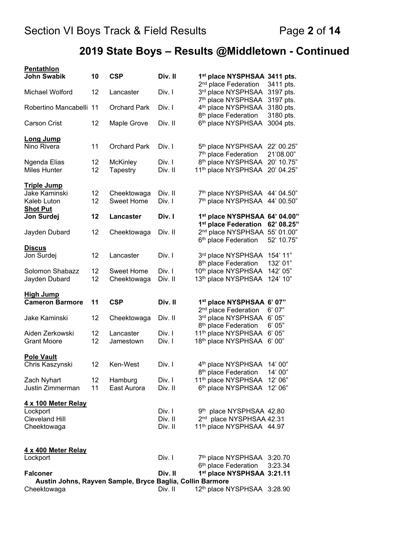# **2019 State Boys – Results @Middletown - Continued**

| <b>Pentathlon</b><br><b>John Swabik</b>                                  | 10       | <b>CSP</b>                       | Div. II            | 1 <sup>st</sup> place NYSPHSAA 3411 pts.                                                              |                                     |
|--------------------------------------------------------------------------|----------|----------------------------------|--------------------|-------------------------------------------------------------------------------------------------------|-------------------------------------|
| Michael Wolford                                                          | 12       | Lancaster                        | Div. I             | 2 <sup>nd</sup> place Federation<br>3rd place NYSPHSAA                                                | 3411 pts.<br>3197 pts.              |
| Robertino Mancabelli 11                                                  |          | <b>Orchard Park</b>              | Div. I             | 7th place NYSPHSAA<br>4 <sup>th</sup> place NYSPHSAA<br>8 <sup>th</sup> place Federation              | 3197 pts.<br>3180 pts.<br>3180 pts. |
| <b>Carson Crist</b>                                                      | 12       | Maple Grove                      | Div. II            | 6th place NYSPHSAA                                                                                    | 3004 pts.                           |
| <b>Long Jump</b><br>Nino Rivera                                          | 11       | <b>Orchard Park</b>              | Div. I             | 5 <sup>th</sup> place NYSPHSAA                                                                        | 22' 00.25"<br>21'08.00"             |
| Ngenda Elias<br><b>Miles Hunter</b>                                      | 12<br>12 | <b>McKinley</b><br>Tapestry      | Div. I<br>Div. II  | 7 <sup>th</sup> place Federation<br>8 <sup>th</sup> place NYSPHSAA<br>11 <sup>th</sup> place NYSPHSAA | 20' 10.75"<br>20' 04.25"            |
| <b>Triple Jump</b>                                                       |          |                                  |                    |                                                                                                       |                                     |
| Jake Kaminski<br>Kaleb Luton                                             | 12<br>12 | Cheektowaga<br><b>Sweet Home</b> | Div. II<br>Div. I  | 7th place NYSPHSAA 44' 04.50"<br>7th place NYSPHSAA 44' 00.50"                                        |                                     |
| <b>Shot Put</b><br>Jon Surdej                                            | 12       | Lancaster                        | Div. I             | 1st place NYSPHSAA 64' 04.00"<br>1 <sup>st</sup> place Federation                                     | 62' 08.25"                          |
| Jayden Dubard                                                            | 12       | Cheektowaga                      | Div. II            | 2nd place NYSPHSAA 55' 01.00"<br>6 <sup>th</sup> place Federation                                     | 52' 10.75"                          |
| <b>Discus</b><br>Jon Surdej                                              | 12       | Lancaster                        | Div. I             | 3rd place NYSPHSAA                                                                                    | 154' 11"                            |
| Solomon Shabazz<br>Jayden Dubard                                         | 12<br>12 | <b>Sweet Home</b><br>Cheektowaga | Div. I<br>Div. II  | 8 <sup>th</sup> place Federation<br>10th place NYSPHSAA<br>13th place NYSPHSAA                        | 132' 01"<br>142' 05"<br>124' 10"    |
| <b>High Jump</b>                                                         |          |                                  |                    |                                                                                                       |                                     |
| <b>Cameron Barmore</b>                                                   | 11       | <b>CSP</b>                       | Div. II            | 1 <sup>st</sup> place NYSPHSAA 6' 07"<br>2 <sup>nd</sup> place Federation                             | 6'07"                               |
| Jake Kaminski                                                            | 12       | Cheektowaga                      | Div. II            | 3rd place NYSPHSAA<br>8 <sup>th</sup> place Federation                                                | 6'05"<br>6'05"                      |
| Aiden Zerkowski<br><b>Grant Moore</b>                                    | 12<br>12 | Lancaster<br>Jamestown           | Div. I<br>Div. I   | 11 <sup>th</sup> place NYSPHSAA<br>18th place NYSPHSAA                                                | 6'05"<br>6'00"                      |
| <b>Pole Vault</b>                                                        |          |                                  |                    |                                                                                                       |                                     |
| Chris Kaszynski                                                          | 12       | Ken-West                         | Div. I             | 4 <sup>th</sup> place NYSPHSAA<br>8 <sup>th</sup> place Federation                                    | 14' 00"<br>14' 00"                  |
| Zach Nyhart<br>Justin Zimmerman                                          | 12<br>11 | Hamburg<br>East Aurora           | Div. I<br>Div. II  | 11 <sup>th</sup> place NYSPHSAA<br>6th place NYSPHSAA                                                 | 12' 06"<br>12' 06"                  |
| 4 x 100 Meter Relay<br>Lockport                                          |          |                                  | Div. I             | 9th place NYSPHSAA 42.80                                                                              |                                     |
| <b>Cleveland Hill</b><br>Cheektowaga                                     |          |                                  | Div. II<br>Div. II | 2 <sup>nd</sup> place NYSPHSAA 42.31<br>11th place NYSPHSAA 44.97                                     |                                     |
|                                                                          |          |                                  |                    |                                                                                                       |                                     |
| 4 x 400 Meter Relay<br>Lockport                                          |          |                                  | Div. I             | 7th place NYSPHSAA 3:20.70                                                                            |                                     |
| <b>Falconer</b>                                                          |          |                                  | Div. II            | 6 <sup>th</sup> place Federation<br>1st place NYSPHSAA 3:21.11                                        | 3:23.34                             |
| Austin Johns, Rayven Sample, Bryce Baglia, Collin Barmore<br>Cheektowaga |          |                                  | Div. II            | 12th place NYSPHSAA 3:28.90                                                                           |                                     |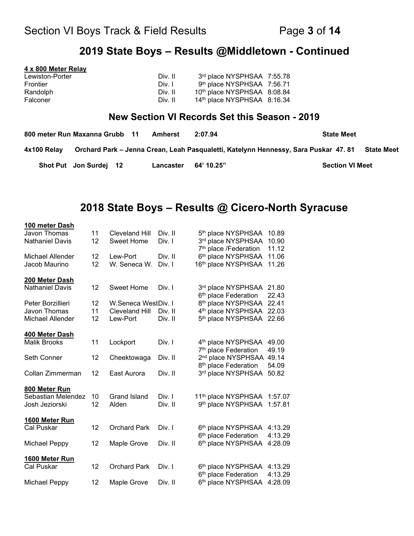## **2019 State Boys – Results @Middletown - Continued**

| 4 x 800 Meter Relay            |            |                                               |       |
|--------------------------------|------------|-----------------------------------------------|-------|
| Lewiston-Porter                | Div. II    | 3rd place NYSPHSAA 7:55.78                    |       |
| Frontier                       | Div. I     | 9th place NYSPHSAA 7:56.71                    |       |
| Randolph                       | Div. II    | 10th place NYSPHSAA 8:08.84                   |       |
| Falconer                       | Div. II    | 14th place NYSPHSAA 8:16.34                   |       |
|                                |            | New Section VI Records Set this Season - 2019 |       |
| 000 motor Dun Movenne Crubb 44 | $A$ malant | 2.07.01                                       | $C++$ |

| 800 meter Run Maxanna Grubb 11 |                        | <b>Amherst</b> | 2:07.94    | <b>State Meet</b>                                                                                |
|--------------------------------|------------------------|----------------|------------|--------------------------------------------------------------------------------------------------|
| 4x100 Relay                    |                        |                |            | Orchard Park – Jenna Crean, Leah Pasqualetti, Katelynn Hennessy, Sara Puskar 47.81<br>State Meet |
|                                | Shot Put Jon Surdej 12 | Lancaster      | 64' 10.25" | <b>Section VI Meet</b>                                                                           |

## **2018 State Boys – Results @ Cicero-North Syracuse**

| 100 meter Dash         |    |                       |         |                                   |         |
|------------------------|----|-----------------------|---------|-----------------------------------|---------|
| Javon Thomas           | 11 | <b>Cleveland Hill</b> | Div. II | 5 <sup>th</sup> place NYSPHSAA    | 10.89   |
| <b>Nathaniel Davis</b> | 12 | <b>Sweet Home</b>     | Div. I  | 3rd place NYSPHSAA                | 10.90   |
|                        |    |                       |         | 7 <sup>th</sup> place /Federation | 11.12   |
| Michael Allender       | 12 | Lew-Port              | Div. II | 6th place NYSPHSAA                | 11.06   |
| Jacob Maurino          | 12 | W. Seneca W.          | Div. I  | 16th place NYSPHSAA               | 11.26   |
| 200 Meter Dash         |    |                       |         |                                   |         |
| <b>Nathaniel Davis</b> | 12 | <b>Sweet Home</b>     | Div. I  | 3rd place NYSPHSAA                | 21.80   |
|                        |    |                       |         | 6 <sup>th</sup> place Federation  | 22.43   |
| Peter Borzillieri      | 12 | W.Seneca WestDiv. I   |         | 8 <sup>th</sup> place NYSPHSAA    | 22.41   |
| Javon Thomas           | 11 | <b>Cleveland Hill</b> | Div. II | 4 <sup>th</sup> place NYSPHSAA    | 22.03   |
| Michael Allender       | 12 | Lew-Port              | Div. II | 5 <sup>th</sup> place NYSPHSAA    | 22.66   |
| 400 Meter Dash         |    |                       |         |                                   |         |
| <b>Malik Brooks</b>    | 11 | Lockport              | Div. I  | 4 <sup>th</sup> place NYSPHSAA    | 49.00   |
|                        |    |                       |         | 7 <sup>th</sup> place Federation  | 49.19   |
| Seth Conner            | 12 | Cheektowaga           | Div. II | 2 <sup>nd</sup> place NYSPHSAA    | 49.14   |
|                        |    |                       |         | 8 <sup>th</sup> place Federation  | 54.09   |
| Collan Zimmerman       | 12 | East Aurora           | Div. II | 3rd place NYSPHSAA                | 50.82   |
| 800 Meter Run          |    |                       |         |                                   |         |
| Sebastian Melendez     | 10 | <b>Grand Island</b>   | Div. I  | 11 <sup>th</sup> place NYSPHSAA   | 1:57.07 |
| Josh Jeziorski         | 12 | Alden                 | Div. II | 9th place NYSPHSAA                | 1:57.81 |
|                        |    |                       |         |                                   |         |
| 1600 Meter Run         |    |                       |         |                                   |         |
| Cal Puskar             | 12 | <b>Orchard Park</b>   | Div. I  | 6th place NYSPHSAA                | 4:13.29 |
|                        |    |                       |         | 6 <sup>th</sup> place Federation  | 4:13.29 |
| <b>Michael Peppy</b>   | 12 | Maple Grove           | Div. II | 6th place NYSPHSAA                | 4:28.09 |
| 1600 Meter Run         |    |                       |         |                                   |         |
| Cal Puskar             | 12 | <b>Orchard Park</b>   | Div. I  | 6 <sup>th</sup> place NYSPHSAA    | 4:13.29 |
|                        |    |                       |         | 6 <sup>th</sup> place Federation  | 4:13.29 |
| <b>Michael Peppy</b>   | 12 | Maple Grove           | Div. II | 6th place NYSPHSAA                | 4:28.09 |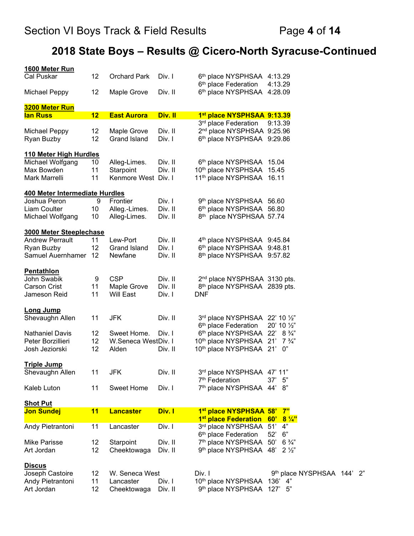# **2018 State Boys – Results @ Cicero-North Syracuse-Continued**

| 1600 Meter Run                       |    |                     |         |                                          |                            |  |
|--------------------------------------|----|---------------------|---------|------------------------------------------|----------------------------|--|
| Cal Puskar                           | 12 | <b>Orchard Park</b> | Div. I  | 6th place NYSPHSAA 4:13.29               |                            |  |
|                                      |    |                     |         | 6 <sup>th</sup> place Federation         | 4:13.29                    |  |
| <b>Michael Peppy</b>                 | 12 | Maple Grove         | Div. II | 6th place NYSPHSAA 4:28.09               |                            |  |
| <b>3200 Meter Run</b>                |    |                     |         |                                          |                            |  |
| <u>lan Russ</u>                      | 12 | <b>East Aurora</b>  | Div. II | 1st place NYSPHSAA 9:13.39               |                            |  |
|                                      |    |                     |         | 3rd place Federation                     | 9:13.39                    |  |
| <b>Michael Peppy</b>                 | 12 | Maple Grove         | Div. II | 2 <sup>nd</sup> place NYSPHSAA 9:25.96   |                            |  |
| Ryan Buzby                           | 12 | Grand Island        | Div. I  | 6th place NYSPHSAA 9:29.86               |                            |  |
|                                      |    |                     |         |                                          |                            |  |
| 110 Meter High Hurdles               |    |                     |         |                                          |                            |  |
| Michael Wolfgang                     | 10 | Alleg-Limes.        | Div. II | 6th place NYSPHSAA 15.04                 |                            |  |
| Max Bowden                           | 11 | Starpoint           | Div. II | 10th place NYSPHSAA 15.45                |                            |  |
| Mark Marrelli                        | 11 | Kenmore West Div. I |         | 11 <sup>th</sup> place NYSPHSAA 16.11    |                            |  |
|                                      |    |                     |         |                                          |                            |  |
| 400 Meter Intermediate Hurdles       |    |                     |         |                                          |                            |  |
| Joshua Peron                         | 9  | Frontier            | Div. I  | 9th place NYSPHSAA 56.60                 |                            |  |
| Liam Coulter                         | 10 | Alleg.-Limes.       | Div. II | 6th place NYSPHSAA 56.80                 |                            |  |
| Michael Wolfgang                     | 10 | Alleg-Limes.        | Div. II | 8th place NYSPHSAA 57.74                 |                            |  |
| <b>3000 Meter Steeplechase</b>       |    |                     |         |                                          |                            |  |
| <b>Andrew Perrault</b>               | 11 | Lew-Port            | Div. II | 4th place NYSPHSAA 9:45.84               |                            |  |
|                                      | 12 | <b>Grand Island</b> | Div. I  | 6th place NYSPHSAA 9:48.81               |                            |  |
| Ryan Buzby<br>Samuel Auernhamer      | 12 | Newfane             | Div. II | 8th place NYSPHSAA 9:57.82               |                            |  |
|                                      |    |                     |         |                                          |                            |  |
| <b>Pentathlon</b>                    |    |                     |         |                                          |                            |  |
| John Swabik                          | 9  | <b>CSP</b>          | Div. II | 2 <sup>nd</sup> place NYSPHSAA 3130 pts. |                            |  |
| <b>Carson Crist</b>                  | 11 | Maple Grove         | Div. II | 8 <sup>th</sup> place NYSPHSAA 2839 pts. |                            |  |
| Jameson Reid                         | 11 | Will East           | Div. I  | <b>DNF</b>                               |                            |  |
|                                      |    |                     |         |                                          |                            |  |
| <b>Long Jump</b>                     |    |                     |         |                                          |                            |  |
| Shevaughn Allen                      | 11 | <b>JFK</b>          | Div. II | 3rd place NYSPHSAA 22' 10 1/2"           |                            |  |
|                                      |    | Sweet Home.         |         | 6 <sup>th</sup> place Federation         | $20'$ 10 $\frac{1}{2}$     |  |
| <b>Nathaniel Davis</b>               | 12 |                     | Div. I  | 6th place NYSPHSAA 22'                   | $8\frac{3}{4}$ "           |  |
| Peter Borzillieri                    | 12 | W.Seneca WestDiv. I |         | 10th place NYSPHSAA 21'                  | $7\frac{3}{4}$             |  |
| Josh Jeziorski                       | 12 | Alden               | Div. II | 10th place NYSPHSAA 21'                  | 0"                         |  |
| <b>Triple Jump</b>                   |    |                     |         |                                          |                            |  |
| Shevaughn Allen                      | 11 | <b>JFK</b>          | Div. II | 3rd place NYSPHSAA 47' 11"               |                            |  |
|                                      |    |                     |         | 7 <sup>th</sup> Federation               | 37'<br>- 5"                |  |
| Kaleb Luton                          | 11 | <b>Sweet Home</b>   | Div. I  | 7th place NYSPHSAA 44' 8"                |                            |  |
|                                      |    |                     |         |                                          |                            |  |
| <b>Shot Put</b><br><b>Jon Sundej</b> | 11 | <b>Lancaster</b>    | Div. I  | 1st place NYSPHSAA 58' 7"                |                            |  |
|                                      |    |                     |         | 1 <sup>st</sup> place Federation 60'     | $8\frac{1}{4}$             |  |
| Andy Pietrantoni                     | 11 | Lancaster           | Div. I  | 3rd place NYSPHSAA 51'                   | 4"                         |  |
|                                      |    |                     |         | 6 <sup>th</sup> place Federation         | 52'<br>6"                  |  |
| Mike Parisse                         | 12 | Starpoint           | Div. II | 7th place NYSPHSAA 50' 6 3/4"            |                            |  |
| Art Jordan                           | 12 | Cheektowaga         | Div. II | 9 <sup>th</sup> place NYSPHSAA 48'       | $2\frac{1}{2}$             |  |
|                                      |    |                     |         |                                          |                            |  |
| <u>Discus</u>                        |    |                     |         |                                          |                            |  |
| Joseph Castoire                      | 12 | W. Seneca West      |         | Div. I                                   | 9th place NYSPHSAA 144' 2" |  |
| Andy Pietrantoni                     | 11 | Lancaster           | Div. I  | 10th place NYSPHSAA 136' 4"              |                            |  |
| Art Jordan                           | 12 | Cheektowaga         | Div. II | 9th place NYSPHSAA 127' 5"               |                            |  |
|                                      |    |                     |         |                                          |                            |  |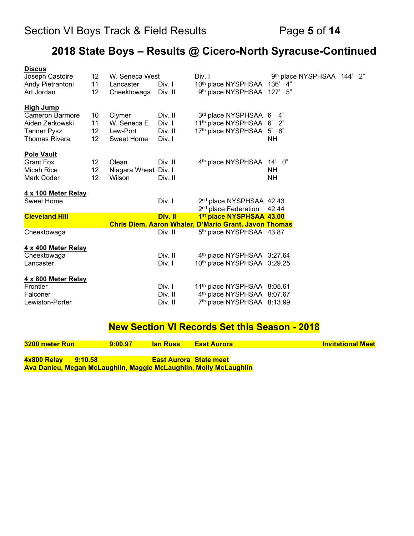# **2018 State Boys – Results @ Cicero-North Syracuse-Continued**

| 12 |                   |                                    | Div. I                                 |                                                       |                                                                                                                                                                                                                                                                                                                                                                              | 2"                      |
|----|-------------------|------------------------------------|----------------------------------------|-------------------------------------------------------|------------------------------------------------------------------------------------------------------------------------------------------------------------------------------------------------------------------------------------------------------------------------------------------------------------------------------------------------------------------------------|-------------------------|
| 11 | Lancaster         | Div. I                             | 10th place NYSPHSAA                    | 136'<br>4"                                            |                                                                                                                                                                                                                                                                                                                                                                              |                         |
| 12 | Cheektowaga       | Div. II                            | 9 <sup>th</sup> place NYSPHSAA         | 127'5''                                               |                                                                                                                                                                                                                                                                                                                                                                              |                         |
|    |                   |                                    |                                        |                                                       |                                                                                                                                                                                                                                                                                                                                                                              |                         |
|    |                   | Div. II                            |                                        | 4"                                                    |                                                                                                                                                                                                                                                                                                                                                                              |                         |
| 11 |                   | Div. I                             |                                        | 2"                                                    |                                                                                                                                                                                                                                                                                                                                                                              |                         |
| 12 |                   | Div. II                            |                                        | 5'<br>6"                                              |                                                                                                                                                                                                                                                                                                                                                                              |                         |
| 12 | <b>Sweet Home</b> | Div. I                             |                                        | NΗ                                                    |                                                                                                                                                                                                                                                                                                                                                                              |                         |
|    |                   |                                    |                                        |                                                       |                                                                                                                                                                                                                                                                                                                                                                              |                         |
| 12 | Olean             | Div. II                            |                                        | $14'$ 0"                                              |                                                                                                                                                                                                                                                                                                                                                                              |                         |
| 12 |                   |                                    |                                        | NΗ                                                    |                                                                                                                                                                                                                                                                                                                                                                              |                         |
| 12 | Wilson            | Div. II                            |                                        | <b>NH</b>                                             |                                                                                                                                                                                                                                                                                                                                                                              |                         |
|    |                   |                                    |                                        |                                                       |                                                                                                                                                                                                                                                                                                                                                                              |                         |
|    |                   | Div. I                             |                                        |                                                       |                                                                                                                                                                                                                                                                                                                                                                              |                         |
|    |                   |                                    | 2 <sup>nd</sup> place Federation       | 42.44                                                 |                                                                                                                                                                                                                                                                                                                                                                              |                         |
|    |                   | Div. II                            |                                        |                                                       |                                                                                                                                                                                                                                                                                                                                                                              |                         |
|    |                   |                                    |                                        |                                                       |                                                                                                                                                                                                                                                                                                                                                                              |                         |
|    |                   | Div. II                            |                                        |                                                       |                                                                                                                                                                                                                                                                                                                                                                              |                         |
|    |                   |                                    |                                        |                                                       |                                                                                                                                                                                                                                                                                                                                                                              |                         |
|    |                   | Div. II                            |                                        |                                                       |                                                                                                                                                                                                                                                                                                                                                                              |                         |
|    |                   | Div. I                             |                                        |                                                       |                                                                                                                                                                                                                                                                                                                                                                              |                         |
|    |                   |                                    |                                        |                                                       |                                                                                                                                                                                                                                                                                                                                                                              |                         |
|    |                   | Div. I                             |                                        |                                                       |                                                                                                                                                                                                                                                                                                                                                                              |                         |
|    |                   | Div. II                            |                                        |                                                       |                                                                                                                                                                                                                                                                                                                                                                              |                         |
|    |                   | Div. II                            |                                        |                                                       |                                                                                                                                                                                                                                                                                                                                                                              |                         |
|    | 10                | Clymer<br>W. Seneca E.<br>Lew-Port | W. Seneca West<br>Niagara Wheat Div. I | 17th place NYSPHSAA<br>4 <sup>th</sup> place NYSPHSAA | 3rd place NYSPHSAA 6'<br>11 <sup>th</sup> place NYSPHSAA 6'<br>2 <sup>nd</sup> place NYSPHSAA 42.43<br>1st place NYSPHSAA 43.00<br>Chris Diem, Aaron Whaler, D'Mario Grant, Javon Thomas<br>5th place NYSPHSAA 43.87<br>4th place NYSPHSAA 3:27.64<br>10th place NYSPHSAA 3:29.25<br>11th place NYSPHSAA 8:05.61<br>4th place NYSPHSAA 8:07.67<br>7th place NYSPHSAA 8:13.99 | 9th place NYSPHSAA 144' |

## **New Section VI Records Set this Season - 2018**

| 3200 meter Run                                                    | 9:00.97 | <b>lan Russ</b>               | <b>East Aurora</b> | <b>Invitational Meet</b> |
|-------------------------------------------------------------------|---------|-------------------------------|--------------------|--------------------------|
| 4x800 Relay<br>9:10.58                                            |         | <b>East Aurora State meet</b> |                    |                          |
| Ava Danieu, Megan McLaughlin, Maggie McLaughlin, Molly McLaughlin |         |                               |                    |                          |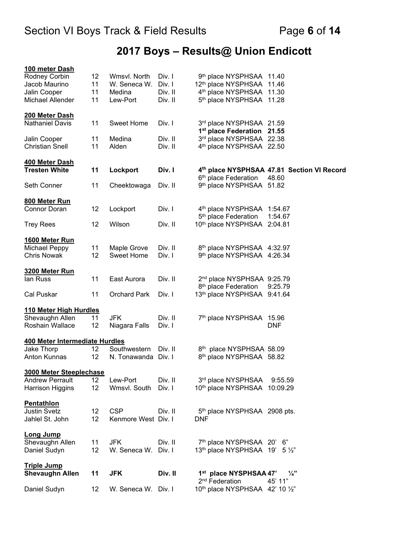# **2017 Boys – Results@ Union Endicott**

| Daniel Sudyn                                                                                | $12 \overline{ }$       | W. Seneca W. Div. I                                |                                        | 2 <sup>nd</sup> Federation<br>10th place NYSPHSAA 42' 10 1/2"                                                 | 45' 11"                                    |
|---------------------------------------------------------------------------------------------|-------------------------|----------------------------------------------------|----------------------------------------|---------------------------------------------------------------------------------------------------------------|--------------------------------------------|
| <u>Triple Jump</u><br><b>Shevaughn Allen</b>                                                | 11                      | <b>JFK</b>                                         | Div. II                                | 1st place NYSPHSAA 47'                                                                                        | $\frac{1}{4}$                              |
| <b>Long Jump</b><br>Shevaughn Allen<br>Daniel Sudyn                                         | 11<br>12                | <b>JFK</b><br>W. Seneca W.                         | Div. II<br>Div. I                      | 7 <sup>th</sup> place NYSPHSAA 20'<br>13th place NYSPHSAA 19'                                                 | 6"<br>$5\frac{1}{2}$                       |
| <b>Pentathlon</b><br><b>Justin Svetz</b><br>Jahlel St. John                                 | 12<br>12 <sup>2</sup>   | <b>CSP</b><br>Kenmore West Div. I                  | Div. II                                | 5th place NYSPHSAA 2908 pts.<br><b>DNF</b>                                                                    |                                            |
| 3000 Meter Steeplechase<br><b>Andrew Perrault</b><br>Harrison Higgins                       | 12<br>12                | Lew-Port<br>Wmsvl. South                           | Div. II<br>Div. I                      | 3rd place NYSPHSAA<br>10th place NYSPHSAA 10:09.29                                                            | 9:55.59                                    |
| 400 Meter Intermediate Hurdles<br>Jake Thorp<br><b>Anton Kunnas</b>                         | 12<br>$12 \overline{ }$ | Southwestern<br>N. Tonawanda                       | Div. II<br>Div. I                      | 8th place NYSPHSAA 58.09<br>8th place NYSPHSAA 58.82                                                          |                                            |
| 110 Meter High Hurdles<br>Shevaughn Allen<br>Roshain Wallace                                | 11<br>12                | <b>JFK</b><br>Niagara Falls                        | Div. II<br>Div. I                      | 7 <sup>th</sup> place NYSPHSAA                                                                                | 15.96<br><b>DNF</b>                        |
| Cal Puskar                                                                                  | 11                      | <b>Orchard Park</b>                                | Div. I                                 | 8 <sup>th</sup> place Federation<br>13th place NYSPHSAA 9:41.64                                               | 9:25.79                                    |
| 3200 Meter Run<br>lan Russ                                                                  | 11                      | East Aurora                                        | Div. II                                | 2 <sup>nd</sup> place NYSPHSAA 9:25.79                                                                        |                                            |
| 1600 Meter Run<br><b>Michael Peppy</b><br><b>Chris Nowak</b>                                | 11<br>12                | Maple Grove<br><b>Sweet Home</b>                   | Div. II<br>Div. I                      | 8th place NYSPHSAA 4:32.97<br>9th place NYSPHSAA 4:26.34                                                      |                                            |
| <b>Trey Rees</b>                                                                            | 12                      | Wilson                                             | Div. II                                | 5 <sup>th</sup> place Federation<br>10th place NYSPHSAA                                                       | 1:54.67<br>2:04.81                         |
| 800 Meter Run<br>Connor Doran                                                               | 12                      | Lockport                                           | Div. I                                 | 4th place NYSPHSAA 1:54.67                                                                                    |                                            |
| Seth Conner                                                                                 | 11                      | Cheektowaga                                        | Div. II                                | 6 <sup>th</sup> place Federation<br>9th place NYSPHSAA 51.82                                                  | 48.60                                      |
| 400 Meter Dash<br><b>Tresten White</b>                                                      | 11                      | Lockport                                           | Div. I                                 |                                                                                                               | 4th place NYSPHSAA 47.81 Section VI Record |
| Jalin Cooper<br><b>Christian Snell</b>                                                      | 11<br>11                | Medina<br>Alden                                    | Div. II<br>Div. II                     | 3rd place NYSPHSAA 22.38<br>4th place NYSPHSAA 22.50                                                          |                                            |
| <b>200 Meter Dash</b><br><b>Nathaniel Davis</b>                                             | 11                      | <b>Sweet Home</b>                                  | Div. I                                 | 3rd place NYSPHSAA 21.59<br>1 <sup>st</sup> place Federation 21.55                                            |                                            |
| 100 meter Dash<br>Rodney Corbin<br>Jacob Maurino<br>Jalin Cooper<br><b>Michael Allender</b> | 12<br>11<br>11<br>11    | Wmsvl. North<br>W. Seneca W.<br>Medina<br>Lew-Port | Div. I<br>Div. I<br>Div. II<br>Div. II | 9th place NYSPHSAA 11.40<br>12th place NYSPHSAA 11.46<br>4th place NYSPHSAA 11.30<br>5th place NYSPHSAA 11.28 |                                            |
|                                                                                             |                         |                                                    |                                        |                                                                                                               |                                            |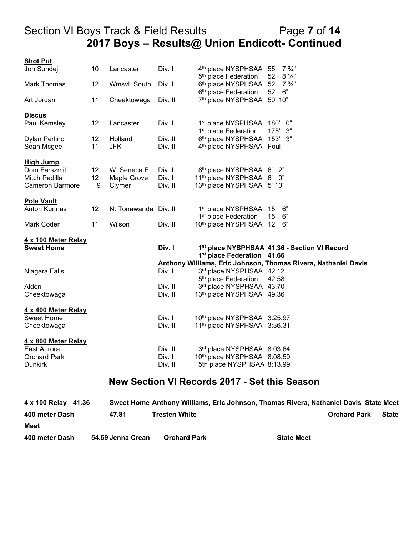## Section VI Boys Track & Field Results Page **7** of **14 2017 Boys – Results@ Union Endicott- Continued**

| <b>Shot Put</b>                |    |                      |                   |                                                                        |                                                                |
|--------------------------------|----|----------------------|-------------------|------------------------------------------------------------------------|----------------------------------------------------------------|
| Jon Sundej                     | 10 | Lancaster            | Div. I            | 4 <sup>th</sup> place NYSPHSAA 55'<br>5 <sup>th</sup> place Federation | $7\frac{3}{4}$<br>52'<br>$8\frac{1}{4}$                        |
| Mark Thomas                    | 12 | Wmsvl. South         | Div. I            | 6 <sup>th</sup> place NYSPHSAA<br>6 <sup>th</sup> place Federation     | 52' 7 3/4"<br>52' 6"                                           |
| Art Jordan                     | 11 | Cheektowaga          | Div. II           | 7th place NYSPHSAA 50' 10"                                             |                                                                |
| <b>Discus</b>                  |    |                      |                   |                                                                        |                                                                |
| Paul Kemsley                   | 12 | Lancaster            | Div. I            | 1st place NYSPHSAA<br>1 <sup>st</sup> place Federation                 | 0"<br>180'<br>175'<br>3"                                       |
| Dylan Perlino                  | 12 | Holland              | Div. II           | 6th place NYSPHSAA 153' 3"                                             |                                                                |
| Sean Mcgee                     | 11 | <b>JFK</b>           | Div. II           | 4 <sup>th</sup> place NYSPHSAA Foul                                    |                                                                |
| <b>High Jump</b>               |    |                      |                   |                                                                        |                                                                |
| Dom Farszmil                   | 12 | W. Seneca E.         | Div. I            | 8 <sup>th</sup> place NYSPHSAA 6'                                      | - 2"                                                           |
| Mitch Padilla                  | 12 | Maple Grove          | Div. I            | 11 <sup>th</sup> place NYSPHSAA 6'                                     | 0"                                                             |
| <b>Cameron Barmore</b>         | 9  | Clymer               | Div. II           | 13th place NYSPHSAA 5' 10"                                             |                                                                |
| <b>Pole Vault</b>              |    |                      |                   |                                                                        |                                                                |
| Anton Kunnas                   | 12 | N. Tonawanda Div. II |                   | 1st place NYSPHSAA                                                     | 6"<br>15'                                                      |
|                                |    |                      |                   | 1 <sup>st</sup> place Federation                                       | 15'<br>6"                                                      |
| Mark Coder                     | 11 | Wilson               | Div. II           | 10th place NYSPHSAA 12'                                                | 6"                                                             |
| 4 x 100 Meter Relay            |    |                      |                   |                                                                        |                                                                |
| <b>Sweet Home</b>              |    |                      | Div. I            | 1st place Federation 41.66                                             | 1st place NYSPHSAA 41.36 - Section VI Record                   |
|                                |    |                      |                   |                                                                        | Anthony Williams, Eric Johnson, Thomas Rivera, Nathaniel Davis |
| Niagara Falls                  |    |                      | Div. I            | 3rd place NYSPHSAA 42.12                                               |                                                                |
|                                |    |                      |                   | 5 <sup>th</sup> place Federation                                       | 42.58                                                          |
| Alden                          |    |                      | Div. II           | 3rd place NYSPHSAA 43.70                                               |                                                                |
| Cheektowaga                    |    |                      | Div. II           | 13th place NYSPHSAA 49.36                                              |                                                                |
| 4 x 400 Meter Relay            |    |                      |                   |                                                                        |                                                                |
| <b>Sweet Home</b>              |    |                      | Div. I            | 10th place NYSPHSAA 3:25.97                                            |                                                                |
| Cheektowaga                    |    |                      | Div. II           | 11th place NYSPHSAA 3:36.31                                            |                                                                |
| <u>4 x 800 Meter Relay</u>     |    |                      |                   |                                                                        |                                                                |
| East Aurora                    |    |                      | Div. II           | 3rd place NYSPHSAA 8:03.64                                             |                                                                |
| <b>Orchard Park</b><br>Dunkirk |    |                      | Div. I<br>Div. II | 10th place NYSPHSAA 8:08.59<br>5th place NYSPHSAA 8:13.99              |                                                                |
|                                |    |                      |                   |                                                                        |                                                                |

#### **New Section VI Records 2017 - Set this Season**

| 4 x 100 Relay 41.36 |                   | Sweet Home Anthony Williams, Eric Johnson, Thomas Rivera, Nathaniel Davis State Meet |                   |                     |       |
|---------------------|-------------------|--------------------------------------------------------------------------------------|-------------------|---------------------|-------|
| 400 meter Dash      | 47.81             | <b>Tresten White</b>                                                                 |                   | <b>Orchard Park</b> | State |
| <b>Meet</b>         |                   |                                                                                      |                   |                     |       |
| 400 meter Dash      | 54.59 Jenna Crean | <b>Orchard Park</b>                                                                  | <b>State Meet</b> |                     |       |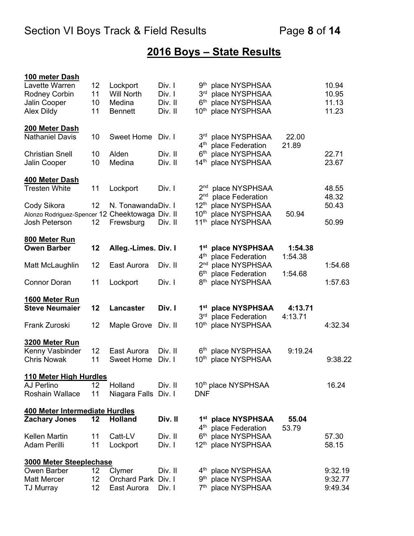# **2016 Boys – State Results**

| 100 meter Dash                                  |                 |                      |         |                                                                       |                    |         |
|-------------------------------------------------|-----------------|----------------------|---------|-----------------------------------------------------------------------|--------------------|---------|
| Lavette Warren                                  | 12              | Lockport             | Div. I  | 9 <sup>th</sup> place NYSPHSAA                                        |                    | 10.94   |
| <b>Rodney Corbin</b>                            | 11              | <b>Will North</b>    | Div. I  | 3 <sup>rd</sup><br>place NYSPHSAA                                     |                    | 10.95   |
| Jalin Cooper                                    | 10              | Medina               | Div. II | 6 <sup>th</sup><br>place NYSPHSAA                                     |                    | 11.13   |
| Alex Dildy                                      | 11              | <b>Bennett</b>       | Div. II | $10^{\text{th}}$<br>place NYSPHSAA                                    |                    | 11.23   |
| 200 Meter Dash                                  |                 |                      |         |                                                                       |                    |         |
| <b>Nathaniel Davis</b>                          | 10              | Sweet Home           | Div. I  | 3 <sup>rd</sup><br>place NYSPHSAA                                     | 22.00              |         |
|                                                 |                 |                      |         | 4 <sup>th</sup><br>place Federation                                   | 21.89              |         |
| <b>Christian Snell</b>                          | 10              | Alden                | Div. II | 6 <sup>th</sup><br>place NYSPHSAA                                     |                    | 22.71   |
| Jalin Cooper                                    | 10              | Medina               | Div. II | place NYSPHSAA<br>14 <sup>th</sup>                                    |                    | 23.67   |
| 400 Meter Dash                                  |                 |                      |         |                                                                       |                    |         |
| <b>Tresten White</b>                            | 11              | Lockport             | Div. I  | 2 <sup>nd</sup> place NYSPHSAA                                        |                    | 48.55   |
|                                                 |                 |                      |         | 2 <sup>nd</sup><br>place Federation                                   |                    | 48.32   |
| Cody Sikora                                     | 12 <sup>2</sup> | N. TonawandaDiv. I   |         | $12^{\text{th}}$<br>place NYSPHSAA                                    |                    | 50.43   |
| Alonzo Rodriguez-Spencer 12 Cheektowaga Div. II |                 |                      |         | place NYSPHSAA<br>$10^{\text{th}}$                                    | 50.94              |         |
| Josh Peterson                                   | 12              | Frewsburg            | Div. II | $11^{\text{th}}$<br>place NYSPHSAA                                    |                    | 50.99   |
| 800 Meter Run                                   |                 |                      |         |                                                                       |                    |         |
| <b>Owen Barber</b>                              | 12              | Alleg.-Limes. Div. I |         | 1st place NYSPHSAA                                                    | 1:54.38            |         |
|                                                 |                 |                      |         | 4 <sup>th</sup> place Federation                                      | 1:54.38            |         |
| Matt McLaughlin                                 | 12              | East Aurora          | Div. II | 2 <sup>nd</sup> place NYSPHSAA                                        |                    | 1:54.68 |
|                                                 |                 |                      |         | 6 <sup>th</sup><br>place Federation                                   | 1:54.68            |         |
| <b>Connor Doran</b>                             | 11              | Lockport             | Div. I  | 8 <sup>th</sup> place NYSPHSAA                                        |                    | 1:57.63 |
| 1600 Meter Run                                  |                 |                      |         |                                                                       |                    |         |
| <b>Steve Neumaier</b>                           | 12              | <b>Lancaster</b>     | Div. I  | 1 <sup>st</sup> place NYSPHSAA<br>place Federation<br>3 <sup>rd</sup> | 4:13.71<br>4:13.71 |         |
| Frank Zuroski                                   | 12              | Maple Grove          | Div. II | $10^{\text{th}}$<br>place NYSPHSAA                                    |                    | 4:32.34 |
|                                                 |                 |                      |         |                                                                       |                    |         |
| 3200 Meter Run                                  |                 |                      |         |                                                                       |                    |         |
| Kenny Vasbinder                                 | 12              | East Aurora          | Div. II | 6 <sup>th</sup> place NYSPHSAA                                        | 9:19.24            |         |
| <b>Chris Nowak</b>                              | 11              | <b>Sweet Home</b>    | Div. I  | $10^{\text{th}}$<br>place NYSPHSAA                                    |                    | 9:38.22 |
| 110 Meter High Hurdles                          |                 |                      |         |                                                                       |                    |         |
| AJ Perlino                                      | 12              | Holland              | Div. II | 10th place NYSPHSAA                                                   |                    | 16.24   |
| Roshain Wallace                                 | 11              | Niagara Falls Div. I |         | <b>DNF</b>                                                            |                    |         |
| 400 Meter Intermediate Hurdles                  |                 |                      |         |                                                                       |                    |         |
| <b>Zachary Jones</b>                            | 12              | <b>Holland</b>       | Div. II | 1 <sup>st</sup> place NYSPHSAA                                        | 55.04              |         |
|                                                 |                 |                      |         | 4 <sup>th</sup> place Federation                                      | 53.79              |         |
| <b>Kellen Martin</b>                            | 11              | Catt-LV              | Div. II | 6th place NYSPHSAA                                                    |                    | 57.30   |
| <b>Adam Perilli</b>                             | 11              | Lockport             | Div. I  | 12 <sup>th</sup> place NYSPHSAA                                       |                    | 58.15   |
| 3000 Meter Steeplechase                         |                 |                      |         |                                                                       |                    |         |
| Owen Barber                                     | 12              | Clymer               | Div. II | 4 <sup>th</sup> place NYSPHSAA                                        |                    | 9:32.19 |
| <b>Matt Mercer</b>                              | 12              | Orchard Park         | Div. I  | 9 <sup>th</sup> place NYSPHSAA                                        |                    | 9:32.77 |
| TJ Murray                                       | 12              | East Aurora          | Div. I  | 7 <sup>th</sup> place NYSPHSAA                                        |                    | 9:49.34 |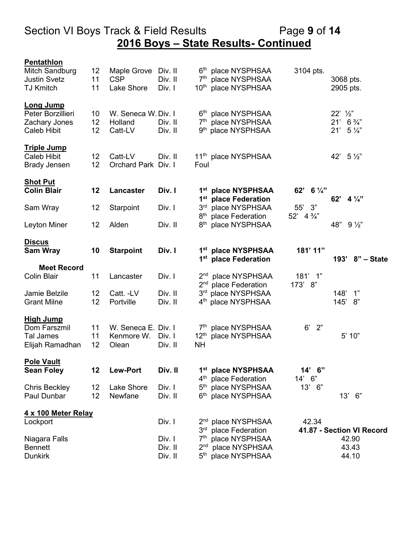## Section VI Boys Track & Field Results Page **9** of **14 2016 Boys – State Results- Continued**

| Pentathlon                          |          |                                |                    |                                    |                                                                    |                       |                                                  |
|-------------------------------------|----------|--------------------------------|--------------------|------------------------------------|--------------------------------------------------------------------|-----------------------|--------------------------------------------------|
| Mitch Sandburg                      | 12       | Maple Grove                    | Div. II            |                                    | 6th place NYSPHSAA                                                 | 3104 pts.             |                                                  |
| <b>Justin Svetz</b>                 | 11       | <b>CSP</b>                     | Div. II            | 7 <sup>th</sup>                    | place NYSPHSAA                                                     |                       | 3068 pts.                                        |
| <b>TJ Kmitch</b>                    | 11       | Lake Shore                     | Div. I             | $10^{\sf th}$                      | place NYSPHSAA                                                     |                       | 2905 pts.                                        |
| <b>Long Jump</b>                    |          |                                |                    |                                    |                                                                    |                       |                                                  |
| Peter Borzillieri                   | 10       | W. Seneca W. Div. I            |                    |                                    | 6 <sup>th</sup> place NYSPHSAA                                     |                       | $22'$ $\frac{1}{2}$                              |
| Zachary Jones<br><b>Caleb Hibit</b> | 12<br>12 | Holland<br>Catt-LV             | Div. II<br>Div. II |                                    | 7 <sup>th</sup> place NYSPHSAA<br>9 <sup>th</sup> place NYSPHSAA   |                       | $21'$ 6 $\frac{3}{4}''$<br>21'<br>$5\frac{1}{4}$ |
|                                     |          |                                |                    |                                    |                                                                    |                       |                                                  |
| <b>Triple Jump</b>                  |          |                                |                    |                                    |                                                                    |                       |                                                  |
| <b>Caleb Hibit</b>                  | 12<br>12 | Catt-LV<br>Orchard Park Div. I | Div. II            | Foul                               | 11 <sup>th</sup> place NYSPHSAA                                    |                       | 42' $5\frac{1}{2}$ "                             |
| <b>Brady Jensen</b>                 |          |                                |                    |                                    |                                                                    |                       |                                                  |
| <b>Shot Put</b>                     |          |                                |                    |                                    |                                                                    |                       |                                                  |
| <b>Colin Blair</b>                  | 12       | Lancaster                      | Div. I             |                                    | 1st place NYSPHSAA<br>1 <sup>st</sup> place Federation             | 62' 6 1/4"            | 62'<br>$4\frac{1}{4}$                            |
| Sam Wray                            | 12       | Starpoint                      | Div. I             | 3 <sup>rd</sup>                    | place NYSPHSAA                                                     | 55'<br>3"             |                                                  |
|                                     |          |                                |                    | 8 <sup>th</sup>                    | place Federation                                                   | $52'$ 4 $\frac{3}{4}$ |                                                  |
| Leyton Miner                        | 12       | Alden                          | Div. II            | 8 <sup>th</sup>                    | place NYSPHSAA                                                     |                       | 48"<br>$9\frac{1}{2}$                            |
|                                     |          |                                |                    |                                    |                                                                    |                       |                                                  |
| <b>Discus</b>                       |          |                                |                    |                                    |                                                                    |                       |                                                  |
| <b>Sam Wray</b>                     | 10       | <b>Starpoint</b>               | Div. I             |                                    | 1 <sup>st</sup> place NYSPHSAA<br>1 <sup>st</sup> place Federation | 181' 11"              | 193' 8" - State                                  |
| <b>Meet Record</b>                  |          |                                |                    |                                    |                                                                    |                       |                                                  |
| <b>Colin Blair</b>                  | 11       | Lancaster                      | Div. I             | 2 <sup>nd</sup>                    | place NYSPHSAA                                                     | 181' 1"               |                                                  |
|                                     |          |                                |                    | 2 <sup>nd</sup>                    | place Federation                                                   | 8"<br>173'            |                                                  |
| Jamie Belzile                       | 12       | Catt. -LV                      | Div. II            | 3 <sup>rd</sup>                    | place NYSPHSAA                                                     |                       | $148'$ 1"                                        |
| <b>Grant Milne</b>                  | 12       | Portville                      | Div. II            | 4 <sup>th</sup>                    | place NYSPHSAA                                                     |                       | 145'<br>8"                                       |
| <b>High Jump</b>                    |          |                                |                    |                                    |                                                                    |                       |                                                  |
| Dom Farszmil                        | 11       | W. Seneca E. Div. I            |                    |                                    | 7 <sup>th</sup> place NYSPHSAA                                     | 6'<br>2"              |                                                  |
| <b>Tal James</b>                    | 11       | Kenmore W.                     | Div. I             | $12^{\text{th}}$                   | place NYSPHSAA                                                     |                       | 5' 10"                                           |
| Elijah Ramadhan                     | 12       | Olean                          | Div. II            | <b>NH</b>                          |                                                                    |                       |                                                  |
| <b>Pole Vault</b>                   |          |                                |                    |                                    |                                                                    |                       |                                                  |
| <b>Sean Foley</b>                   | 12       | <b>Lew-Port</b>                | Div. II            |                                    | 1st place NYSPHSAA                                                 | 14' 6"                |                                                  |
|                                     |          |                                |                    | 4 <sup>th</sup>                    | place Federation                                                   | 14' 6"                |                                                  |
| <b>Chris Beckley</b>                | 12<br>12 | Lake Shore                     | Div. I<br>Div. II  | 5 <sup>th</sup><br>$6^{\sf th}$    | place NYSPHSAA                                                     | 13'<br>6"             |                                                  |
| Paul Dunbar                         |          | Newfane                        |                    |                                    | place NYSPHSAA                                                     |                       | 13' 6"                                           |
| 4 x 100 Meter Relay                 |          |                                |                    |                                    |                                                                    |                       |                                                  |
| Lockport                            |          |                                | Div. I             | 2 <sup>nd</sup>                    | place NYSPHSAA                                                     | 42.34                 |                                                  |
|                                     |          |                                | Div. I             | 3 <sup>rd</sup><br>7 <sup>th</sup> | place Federation                                                   |                       | 41.87 - Section VI Record                        |
| Niagara Falls<br><b>Bennett</b>     |          |                                | Div. II            | 2 <sup>nd</sup>                    | place NYSPHSAA<br>place NYSPHSAA                                   |                       | 42.90<br>43.43                                   |
| <b>Dunkirk</b>                      |          |                                | Div. II            | 5 <sup>th</sup>                    | place NYSPHSAA                                                     |                       | 44.10                                            |
|                                     |          |                                |                    |                                    |                                                                    |                       |                                                  |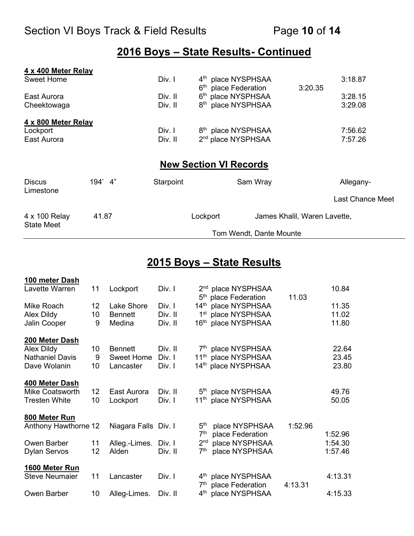## **2016 Boys – State Results- Continued**

| 4 x 400 Meter Relay        |         |           |                                  |                                |                              |                         |
|----------------------------|---------|-----------|----------------------------------|--------------------------------|------------------------------|-------------------------|
| <b>Sweet Home</b>          |         | Div. I    |                                  | 4 <sup>th</sup> place NYSPHSAA |                              | 3:18.87                 |
|                            |         |           | 6 <sup>th</sup> place Federation |                                | 3:20.35                      |                         |
| East Aurora                |         | Div. II   |                                  | 6th place NYSPHSAA             |                              | 3:28.15                 |
| Cheektowaga                |         | Div. II   |                                  | 8 <sup>th</sup> place NYSPHSAA |                              | 3:29.08                 |
| 4 x 800 Meter Relay        |         |           |                                  |                                |                              |                         |
| Lockport                   |         | Div. I    |                                  | 8 <sup>th</sup> place NYSPHSAA |                              | 7:56.62                 |
| East Aurora                |         | Div. II   |                                  | 2 <sup>nd</sup> place NYSPHSAA |                              | 7:57.26                 |
|                            |         |           | <b>New Section VI Records</b>    |                                |                              |                         |
| <b>Discus</b><br>Limestone | 194' 4" | Starpoint |                                  | Sam Wray                       |                              | Allegany-               |
|                            |         |           |                                  |                                |                              | <b>Last Chance Meet</b> |
| 4 x 100 Relay              | 41.87   |           | Lockport                         |                                | James Khalil, Waren Lavette, |                         |
| <b>State Meet</b>          |         |           |                                  | Tom Wendt, Dante Mounte        |                              |                         |

#### **2015 Boys – State Results**

| 100 meter Dash         |                 |                      |         |                                                                    |         |         |
|------------------------|-----------------|----------------------|---------|--------------------------------------------------------------------|---------|---------|
| Lavette Warren         | 11              | Lockport             | Div. I  | 2 <sup>nd</sup> place NYSPHSAA<br>5 <sup>th</sup> place Federation | 11.03   | 10.84   |
| Mike Roach             | 12 <sub>2</sub> | Lake Shore           | Div. I  | 14th place NYSPHSAA                                                |         | 11.35   |
| Alex Dildy             | 10              | <b>Bennett</b>       | Div. II | 1 <sup>st</sup> place NYSPHSAA                                     |         | 11.02   |
| Jalin Cooper           | 9               | Medina               | Div. II | 16 <sup>th</sup> place NYSPHSAA                                    |         | 11.80   |
| 200 Meter Dash         |                 |                      |         |                                                                    |         |         |
| Alex Dildy             | 10              | <b>Bennett</b>       | Div. II | 7 <sup>th</sup> place NYSPHSAA                                     |         | 22.64   |
| <b>Nathaniel Davis</b> | 9               | Sweet Home           | Div. I  | 11 <sup>th</sup> place NYSPHSAA                                    |         | 23.45   |
| Dave Wolanin           | 10              | Lancaster            | Div. I  | 14 <sup>th</sup> place NYSPHSAA                                    |         | 23.80   |
| 400 Meter Dash         |                 |                      |         |                                                                    |         |         |
| <b>Mike Coatsworth</b> | 12              | East Aurora          | Div. II | 5 <sup>th</sup> place NYSPHSAA                                     |         | 49.76   |
| <b>Tresten White</b>   | 10              | Lockport             | Div. I  | 11 <sup>th</sup> place NYSPHSAA                                    |         | 50.05   |
| 800 Meter Run          |                 |                      |         |                                                                    |         |         |
| Anthony Hawthorne 12   |                 | Niagara Falls Div. I |         | 5 <sup>th</sup><br>place NYSPHSAA                                  | 1:52.96 |         |
|                        |                 |                      |         | 7 <sup>th</sup><br>place Federation                                |         | 1:52.96 |
| Owen Barber            | 11              | Alleg.-Limes.        | Div. I  | 2 <sup>nd</sup><br>place NYSPHSAA                                  |         | 1:54.30 |
| <b>Dylan Servos</b>    | 12              | Alden                | Div. II | place NYSPHSAA<br>7 <sup>th</sup>                                  |         | 1:57.46 |
| 1600 Meter Run         |                 |                      |         |                                                                    |         |         |
| <b>Steve Neumaier</b>  | 11              | Lancaster            | Div. I  | 4 <sup>th</sup> place NYSPHSAA<br>7 <sup>th</sup>                  |         | 4:13.31 |
| Owen Barber            | 10              | Alleg-Limes.         | Div. II | place Federation<br>4 <sup>th</sup> place NYSPHSAA                 | 4:13.31 | 4:15.33 |
|                        |                 |                      |         |                                                                    |         |         |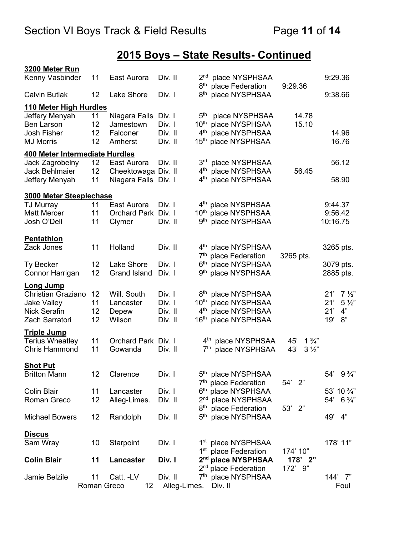# **2015 Boys – State Results- Continued**

| 3200 Meter Run                 |                 |                      |              |                                    |                                    |                       |                       |
|--------------------------------|-----------------|----------------------|--------------|------------------------------------|------------------------------------|-----------------------|-----------------------|
| Kenny Vasbinder                | 11              | East Aurora          | Div. II      | 2 <sup>nd</sup><br>8 <sup>th</sup> | place NYSPHSAA<br>place Federation | 9:29.36               | 9:29.36               |
| <b>Calvin Butlak</b>           | 12              | Lake Shore           | Div. I       | 8 <sup>th</sup>                    | place NYSPHSAA                     |                       | 9:38.66               |
| 110 Meter High Hurdles         |                 |                      |              |                                    |                                    |                       |                       |
| Jeffery Menyah                 | 11              | Niagara Falls Div. I |              | 5 <sup>th</sup>                    | place NYSPHSAA                     | 14.78                 |                       |
| <b>Ben Larson</b>              | 12              | Jamestown            | Div. I       | $10^{\rm th}$                      | place NYSPHSAA                     | 15.10                 |                       |
| Josh Fisher                    | 12              | Falconer             | Div. II      | 4 <sup>th</sup>                    | place NYSPHSAA                     |                       | 14.96                 |
| <b>MJ Morris</b>               | 12              | Amherst              | Div. II      | 15 <sup>th</sup>                   | place NYSPHSAA                     |                       | 16.76                 |
| 400 Meter Intermediate Hurdles |                 |                      |              |                                    |                                    |                       |                       |
| Jack Zagrobelny                | 12 <sub>2</sub> | East Aurora          | Div. II      | 3 <sup>rd</sup>                    | place NYSPHSAA                     |                       | 56.12                 |
| Jack Behlmaier                 | 12              | Cheektowaga Div. II  |              | $4^{\text{th}}$                    | place NYSPHSAA                     | 56.45                 |                       |
| Jeffery Menyah                 | 11              | Niagara Falls Div. I |              | $4^{\text{th}}$                    | place NYSPHSAA                     |                       | 58.90                 |
| 3000 Meter Steeplechase        |                 |                      |              |                                    |                                    |                       |                       |
| TJ Murray                      | 11              | East Aurora          | Div. I       |                                    | 4 <sup>th</sup> place NYSPHSAA     |                       | 9:44.37               |
| <b>Matt Mercer</b>             | 11              | Orchard Park Div. I  |              |                                    | 10th place NYSPHSAA                |                       | 9:56.42               |
| Josh O'Dell                    | 11              | Clymer               | Div. II      | $9^{\sf th}$                       | place NYSPHSAA                     |                       | 10:16.75              |
| <b>Pentathlon</b>              |                 |                      |              |                                    |                                    |                       |                       |
| Zack Jones                     | 11              | Holland              | Div. II      |                                    | 4 <sup>th</sup> place NYSPHSAA     |                       | 3265 pts.             |
|                                |                 |                      |              | 7 <sup>th</sup>                    | place Federation                   | 3265 pts.             |                       |
| <b>Ty Becker</b>               | 12              | Lake Shore           | Div. I       | 6 <sup>th</sup>                    | place NYSPHSAA                     |                       | 3079 pts.             |
| Connor Harrigan                | 12              | <b>Grand Island</b>  | Div. I       | 9 <sup>th</sup>                    | place NYSPHSAA                     |                       | 2885 pts.             |
| <b>Long Jump</b>               |                 |                      |              |                                    |                                    |                       |                       |
| <b>Christian Graziano</b>      | 12              | Will. South          | Div. I       |                                    | 8 <sup>th</sup> place NYSPHSAA     |                       | 21'<br>$7\frac{1}{2}$ |
| <b>Jake Valley</b>             | 11              | Lancaster            | Div. I       | 10 <sup>th</sup>                   | place NYSPHSAA                     |                       | 21'<br>$5\frac{1}{2}$ |
| <b>Nick Serafin</b>            | 12              | Depew                | Div. II      | 4 <sup>th</sup>                    | place NYSPHSAA                     |                       | 4"<br>21'             |
| Zach Sarratori                 | 12              | Wilson               | Div. II      | 16 <sup>th</sup>                   | place NYSPHSAA                     |                       | 8"<br>19'             |
| <b>Triple Jump</b>             |                 |                      |              |                                    |                                    |                       |                       |
| <b>Terius Wheatley</b>         | 11              | Orchard Park Div. I  |              |                                    | 4 <sup>th</sup> place NYSPHSAA     | $1\frac{3}{4}$<br>45' |                       |
| <b>Chris Hammond</b>           | 11              | Gowanda              | Div. II      | 7 <sup>th</sup>                    | place NYSPHSAA                     | 43'<br>$3\frac{1}{2}$ |                       |
| <b>Shot Put</b>                |                 |                      |              |                                    |                                    |                       |                       |
| <b>Britton Mann</b>            | 12              | Clarence             | Div. I       |                                    | 5 <sup>th</sup> place NYSPHSAA     |                       | $9\frac{3}{4}$<br>54' |
|                                |                 |                      |              |                                    | 7 <sup>th</sup> place Federation   | 54' 2"                |                       |
| Colin Blair                    | 11              | Lancaster            | Div. I       |                                    | 6th place NYSPHSAA                 |                       | 53' 10 3/4"           |
| Roman Greco                    | 12              | Alleg-Limes.         | Div. II      |                                    | 2 <sup>nd</sup> place NYSPHSAA     |                       | $54' 6 \%$            |
|                                |                 |                      |              | 8 <sup>th</sup>                    | place Federation                   | 53' 2"                |                       |
| <b>Michael Bowers</b>          | 12              | Randolph             | Div. II      | 5 <sup>th</sup>                    | place NYSPHSAA                     |                       | 4"<br>49'             |
| <u>Discus</u>                  |                 |                      |              |                                    |                                    |                       |                       |
| Sam Wray                       | 10              | Starpoint            | Div. I       |                                    | 1 <sup>st</sup> place NYSPHSAA     |                       | 178' 11"              |
|                                |                 |                      |              |                                    | 1 <sup>st</sup> place Federation   | 174' 10"              |                       |
| <b>Colin Blair</b>             | 11              | <b>Lancaster</b>     | Div. I       |                                    | 2 <sup>nd</sup> place NYSPHSAA     | $178'$ 2"             |                       |
|                                |                 |                      |              |                                    | 2 <sup>nd</sup> place Federation   | 172'<br>9"            |                       |
| Jamie Belzile                  | 11              | Catt. -LV            | Div. II      |                                    | 7 <sup>th</sup> place NYSPHSAA     |                       | 144' 7"               |
|                                |                 | Roman Greco<br>12    | Alleg-Limes. |                                    | Div. II                            |                       | Foul                  |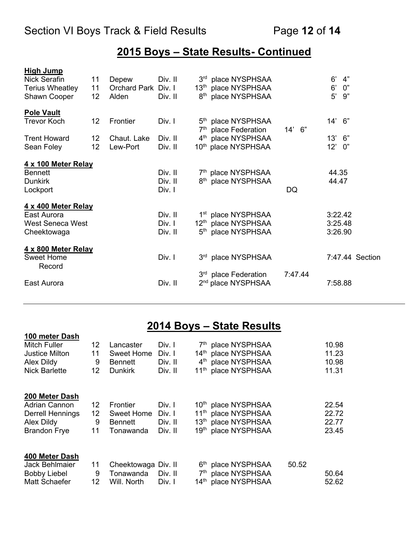## **2015 Boys – State Results- Continued**

| <b>High Jump</b><br>Nick Serafin | 11                | Depew               | Div. II |                 | 3rd place NYSPHSAA                                                 |         | 6'<br>4"           |
|----------------------------------|-------------------|---------------------|---------|-----------------|--------------------------------------------------------------------|---------|--------------------|
| <b>Terius Wheatley</b>           | 11                | Orchard Park Div. I |         |                 | 13th place NYSPHSAA                                                |         | $6^{\prime}$<br>0" |
| Shawn Cooper                     | 12                | Alden               | Div. II |                 | 8 <sup>th</sup> place NYSPHSAA                                     |         | 9"<br>5'           |
| <b>Pole Vault</b>                |                   |                     |         |                 |                                                                    |         |                    |
| Trevor Koch                      | 12                | Frontier            | Div. I  |                 | 5 <sup>th</sup> place NYSPHSAA<br>7 <sup>th</sup> place Federation | 14' 6"  | 14' 6"             |
| <b>Trent Howard</b>              | 12                | Chaut. Lake         | Div. II |                 | 4 <sup>th</sup> place NYSPHSAA                                     |         | 13'<br>6"          |
| Sean Foley                       | $12 \overline{ }$ | Lew-Port            | Div. II |                 | 10th place NYSPHSAA                                                |         | $12^{\circ}$<br>0" |
| 4 x 100 Meter Relay              |                   |                     |         |                 |                                                                    |         |                    |
| <b>Bennett</b>                   |                   |                     | Div. II |                 | 7th place NYSPHSAA                                                 |         | 44.35              |
| <b>Dunkirk</b>                   |                   |                     | Div. II |                 | 8 <sup>th</sup> place NYSPHSAA                                     |         | 44.47              |
| Lockport                         |                   |                     | Div. I  |                 |                                                                    | DQ      |                    |
| 4 x 400 Meter Relay              |                   |                     |         |                 |                                                                    |         |                    |
| East Aurora                      |                   |                     | Div. II |                 | 1 <sup>st</sup> place NYSPHSAA                                     |         | 3:22.42            |
| <b>West Seneca West</b>          |                   |                     | Div. I  |                 | 12th place NYSPHSAA                                                |         | 3:25.48            |
| Cheektowaga                      |                   |                     | Div. II | 5 <sup>th</sup> | place NYSPHSAA                                                     |         | 3:26.90            |
| 4 x 800 Meter Relay              |                   |                     |         |                 |                                                                    |         |                    |
| <b>Sweet Home</b><br>Record      |                   |                     | Div. I  |                 | 3rd place NYSPHSAA                                                 |         | 7:47.44 Section    |
|                                  |                   |                     |         |                 | 3 <sup>rd</sup> place Federation                                   | 7:47.44 |                    |
| East Aurora                      |                   |                     | Div. II |                 | 2 <sup>nd</sup> place NYSPHSAA                                     |         | 7:58.88            |

## **2014 Boys – State Results**

| 100 meter Dash          |                 |                     |         |                                 |       |       |
|-------------------------|-----------------|---------------------|---------|---------------------------------|-------|-------|
| <b>Mitch Fuller</b>     | 12              | Lancaster           | Div. I  | 7th place NYSPHSAA              |       | 10.98 |
| <b>Justice Milton</b>   | 11              | <b>Sweet Home</b>   | Div. I  | 14th place NYSPHSAA             |       | 11.23 |
| Alex Dildy              | 9               | Bennett             | Div. II | 4 <sup>th</sup> place NYSPHSAA  |       | 10.98 |
| <b>Nick Barlette</b>    | 12              | <b>Dunkirk</b>      | Div. II | 11 <sup>th</sup> place NYSPHSAA |       | 11.31 |
| 200 Meter Dash          |                 |                     |         |                                 |       |       |
| <b>Adrian Cannon</b>    | 12              | <b>Frontier</b>     | Div. I  | 10 <sup>th</sup> place NYSPHSAA |       | 22.54 |
| <b>Derrell Hennings</b> | 12 <sub>2</sub> | <b>Sweet Home</b>   | Div. I  | 11 <sup>th</sup> place NYSPHSAA |       | 22.72 |
| Alex Dildy              | 9               | Bennett             | Div. II | 13th place NYSPHSAA             |       | 22.77 |
| <b>Brandon Frye</b>     | 11              | Tonawanda           | Div. II | 19th place NYSPHSAA             |       | 23.45 |
| 400 Meter Dash          |                 |                     |         |                                 |       |       |
| <b>Jack Behlmaier</b>   | 11              | Cheektowaga Div. II |         | 6 <sup>th</sup> place NYSPHSAA  | 50.52 |       |
| <b>Bobby Liebel</b>     | 9               | Tonawanda           | Div. II | 7 <sup>th</sup> place NYSPHSAA  |       | 50.64 |
| Matt Schaefer           | 12              | Will. North         | Div. I  | 14th place NYSPHSAA             |       | 52.62 |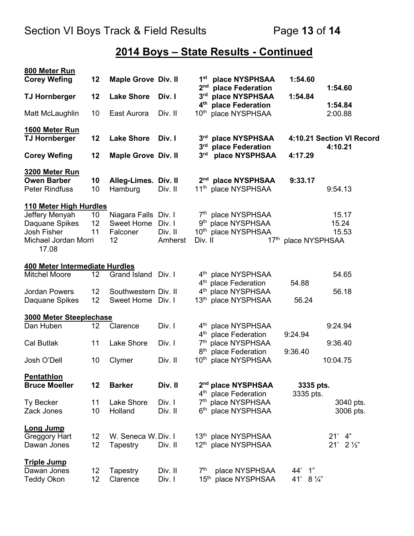# **2014 Boys – State Results - Continued**

| 800 Meter Run                               |                 |                            |                    |                                    |                                                                    |                         |                           |
|---------------------------------------------|-----------------|----------------------------|--------------------|------------------------------------|--------------------------------------------------------------------|-------------------------|---------------------------|
| <b>Corey Wefing</b>                         | 12              | <b>Maple Grove Div. II</b> |                    | 1 <sup>st</sup><br>2 <sub>nd</sub> | place NYSPHSAA<br>place Federation                                 | 1:54.60                 | 1:54.60                   |
| <b>TJ Hornberger</b>                        | 12              | <b>Lake Shore</b>          | Div. I             | 3 <sup>rd</sup><br>4 <sup>th</sup> | place NYSPHSAA<br>place Federation                                 | 1:54.84                 | 1:54.84                   |
| Matt McLaughlin                             | 10              | East Aurora                | Div. II            | $10^{\text{th}}$                   | place NYSPHSAA                                                     |                         | 2:00.88                   |
| 1600 Meter Run<br><b>TJ Hornberger</b>      | 12              | <b>Lake Shore</b>          | Div. I             | 3 <sup>rd</sup>                    | place NYSPHSAA                                                     |                         | 4:10.21 Section VI Record |
|                                             |                 |                            |                    | 3 <sup>rd</sup>                    | place Federation                                                   |                         | 4:10.21                   |
| <b>Corey Wefing</b>                         | 12              | <b>Maple Grove Div. II</b> |                    | 3 <sup>rd</sup>                    | place NYSPHSAA                                                     | 4:17.29                 |                           |
| 3200 Meter Run                              |                 |                            |                    |                                    |                                                                    |                         |                           |
| <b>Owen Barber</b><br><b>Peter Rindfuss</b> | 10<br>10        | Alleg-Limes.<br>Hamburg    | Div. II<br>Div. II | 2 <sup>nd</sup>                    | place NYSPHSAA<br>11 <sup>th</sup> place NYSPHSAA                  | 9:33.17                 | 9:54.13                   |
| 110 Meter High Hurdles                      |                 |                            |                    |                                    |                                                                    |                         |                           |
| Jeffery Menyah                              | 10              | Niagara Falls Div. I       |                    |                                    | 7th place NYSPHSAA                                                 |                         | 15.17                     |
| Daquane Spikes                              | 12              | Sweet Home                 | Div. I             |                                    | 9th place NYSPHSAA                                                 |                         | 15.24                     |
| Josh Fisher                                 | 11              | Falconer                   | Div. II            |                                    | 10th place NYSPHSAA                                                |                         | 15.53                     |
| Michael Jordan Morri<br>17.08               |                 | 12                         | Amherst            | Div. II                            | 17 <sup>th</sup>                                                   | place NYSPHSAA          |                           |
| 400 Meter Intermediate Hurdles              |                 |                            |                    |                                    |                                                                    |                         |                           |
| Mitchel Moore                               | 12              | Grand Island Div. I        |                    |                                    | 4 <sup>th</sup> place NYSPHSAA                                     |                         | 54.65                     |
|                                             |                 |                            |                    |                                    | 4 <sup>th</sup> place Federation                                   | 54.88                   |                           |
| <b>Jordan Powers</b>                        | 12              | Southwestern Div. II       |                    |                                    | 4 <sup>th</sup> place NYSPHSAA                                     |                         | 56.18                     |
| Daquane Spikes                              | 12              | Sweet Home Div. I          |                    |                                    | 13th place NYSPHSAA                                                | 56.24                   |                           |
| 3000 Meter Steeplechase                     |                 |                            |                    |                                    |                                                                    |                         |                           |
| Dan Huben                                   | 12              | Clarence                   | Div. I             |                                    | 4 <sup>th</sup> place NYSPHSAA                                     |                         | 9:24.94                   |
|                                             |                 |                            |                    | $4^{\text{th}}$                    | place Federation                                                   | 9:24.94                 |                           |
| <b>Cal Butlak</b>                           | 11              | Lake Shore                 | Div. I             | 7 <sup>th</sup>                    | place NYSPHSAA                                                     |                         | 9:36.40                   |
|                                             |                 |                            |                    |                                    | 8 <sup>th</sup> place Federation                                   | 9:36.40                 |                           |
| Josh O'Dell                                 | 10              | Clymer                     | Div. II            |                                    | 10th place NYSPHSAA                                                |                         | 10:04.75                  |
| <b>Pentathlon</b>                           |                 |                            |                    |                                    |                                                                    |                         |                           |
| <b>Bruce Moeller</b>                        | 12              | <b>Barker</b>              | Div. II            |                                    | 2 <sup>nd</sup> place NYSPHSAA<br>4 <sup>th</sup> place Federation | 3335 pts.<br>3335 pts.  |                           |
| <b>Ty Becker</b>                            | 11              | <b>Lake Shore</b>          | Div. I             | 7 <sup>th</sup>                    | place NYSPHSAA                                                     |                         | 3040 pts.                 |
| Zack Jones                                  | 10              | Holland                    | Div. II            |                                    | 6th place NYSPHSAA                                                 |                         | 3006 pts.                 |
| <b>Long Jump</b>                            |                 |                            |                    |                                    |                                                                    |                         |                           |
| Greggory Hart                               | 12 <sub>2</sub> | W. Seneca W. Div. I        |                    |                                    | 13th place NYSPHSAA                                                |                         | 21'<br>4"                 |
| Dawan Jones                                 | 12              | Tapestry                   | Div. II            |                                    | 12th place NYSPHSAA                                                |                         | 21'<br>$2\frac{1}{2}$     |
| <b>Triple Jump</b>                          |                 |                            |                    |                                    |                                                                    |                         |                           |
| Dawan Jones                                 | 12 <sub>2</sub> | Tapestry                   | Div. II            | 7 <sup>th</sup>                    | place NYSPHSAA                                                     | $\overline{1}$ "<br>44' |                           |
| <b>Teddy Okon</b>                           | 12              | Clarence                   | Div. I             | 15 <sup>th</sup>                   | place NYSPHSAA                                                     | 41'<br>$8\frac{1}{4}$   |                           |